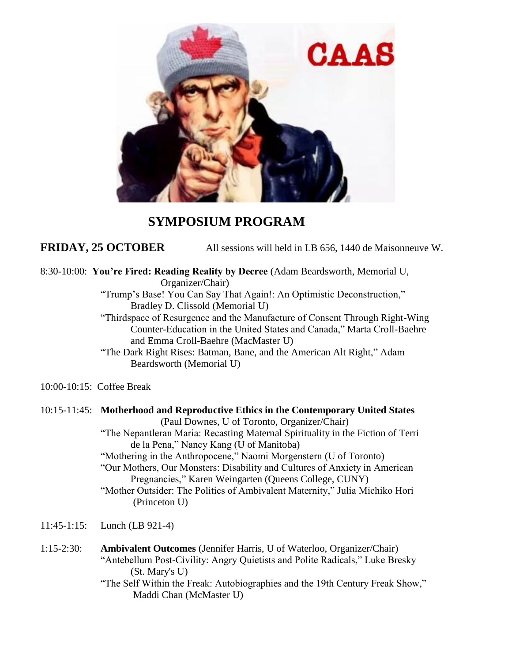

## **SYMPOSIUM PROGRAM**

**FRIDAY, 25 OCTOBER** All sessions will held in LB 656, 1440 de Maisonneuve W.

8:30-10:00: **You're Fired: Reading Reality by Decree** (Adam Beardsworth, Memorial U, Organizer/Chair)

> "Trump's Base! You Can Say That Again!: An Optimistic Deconstruction," Bradley D. Clissold (Memorial U)

"Thirdspace of Resurgence and the Manufacture of Consent Through Right-Wing Counter-Education in the United States and Canada," Marta Croll-Baehre and Emma Croll-Baehre (MacMaster U)

"The Dark Right Rises: Batman, Bane, and the American Alt Right," Adam Beardsworth (Memorial U)

10:00-10:15: Coffee Break

## 10:15-11:45: **Motherhood and Reproductive Ethics in the Contemporary United States** (Paul Downes, U of Toronto, Organizer/Chair) "The Nepantleran Maria: Recasting Maternal Spirituality in the Fiction of Terri de la Pena," Nancy Kang (U of Manitoba) "Mothering in the Anthropocene," Naomi Morgenstern (U of Toronto) "Our Mothers, Our Monsters: Disability and Cultures of Anxiety in American Pregnancies," Karen Weingarten (Queens College, CUNY) "Mother Outsider: The Politics of Ambivalent Maternity," Julia Michiko Hori (Princeton U)

11:45-1:15: Lunch (LB 921-4)

1:15-2:30: **Ambivalent Outcomes** (Jennifer Harris, U of Waterloo, Organizer/Chair) "Antebellum Post-Civility: Angry Quietists and Polite Radicals," Luke Bresky (St. Mary's U) "The Self Within the Freak: Autobiographies and the 19th Century Freak Show," Maddi Chan (McMaster U)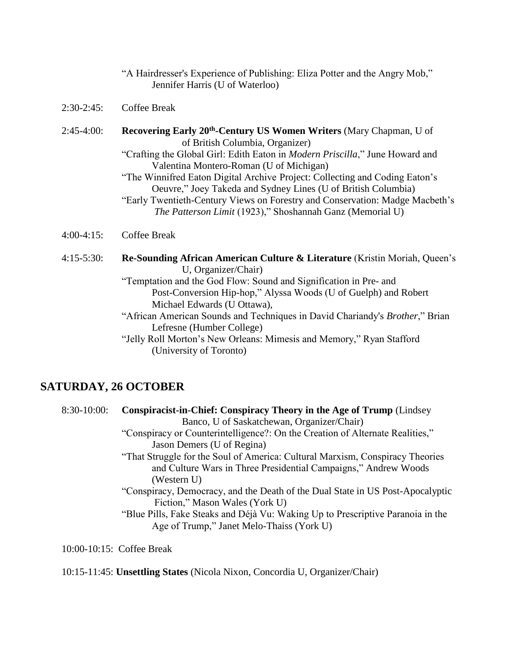|               | "A Hairdresser's Experience of Publishing: Eliza Potter and the Angry Mob,"<br>Jennifer Harris (U of Waterloo)                                                                                                                                                                                                                                                                                                                                                                                                                               |
|---------------|----------------------------------------------------------------------------------------------------------------------------------------------------------------------------------------------------------------------------------------------------------------------------------------------------------------------------------------------------------------------------------------------------------------------------------------------------------------------------------------------------------------------------------------------|
| $2:30-2:45$ : | <b>Coffee Break</b>                                                                                                                                                                                                                                                                                                                                                                                                                                                                                                                          |
| $2:45-4:00$ : | <b>Recovering Early 20th-Century US Women Writers (Mary Chapman, U of</b><br>of British Columbia, Organizer)<br>"Crafting the Global Girl: Edith Eaton in <i>Modern Priscilla</i> ," June Howard and<br>Valentina Montero-Roman (U of Michigan)<br>"The Winnifred Eaton Digital Archive Project: Collecting and Coding Eaton's<br>Oeuvre," Joey Takeda and Sydney Lines (U of British Columbia)<br>"Early Twentieth-Century Views on Forestry and Conservation: Madge Macbeth's<br>The Patterson Limit (1923)," Shoshannah Ganz (Memorial U) |
| $4:00-4:15$ : | <b>Coffee Break</b>                                                                                                                                                                                                                                                                                                                                                                                                                                                                                                                          |
| $4:15-5:30:$  | Re-Sounding African American Culture & Literature (Kristin Moriah, Queen's<br>U, Organizer/Chair)<br>"Temptation and the God Flow: Sound and Signification in Pre- and<br>Post-Conversion Hip-hop," Alyssa Woods (U of Guelph) and Robert<br>Michael Edwards (U Ottawa),<br>"African American Sounds and Techniques in David Chariandy's Brother," Brian<br>Lefresne (Humber College)                                                                                                                                                        |

"Jelly Roll Morton's New Orleans: Mimesis and Memory," Ryan Stafford (University of Toronto)

# **SATURDAY, 26 OCTOBER**

| $8:30-10:00$ : | <b>Conspiracist-in-Chief: Conspiracy Theory in the Age of Trump (Lindsey)</b>   |
|----------------|---------------------------------------------------------------------------------|
|                | Banco, U of Saskatchewan, Organizer/Chair)                                      |
|                | "Conspiracy or Counterintelligence?: On the Creation of Alternate Realities,"   |
|                | Jason Demers (U of Regina)                                                      |
|                | "That Struggle for the Soul of America: Cultural Marxism, Conspiracy Theories   |
|                | and Culture Wars in Three Presidential Campaigns," Andrew Woods                 |
|                | (Western U)                                                                     |
|                | "Conspiracy, Democracy, and the Death of the Dual State in US Post-Apocalyptic  |
|                | Fiction," Mason Wales (York U)                                                  |
|                | "Blue Pills, Fake Steaks and Déjà Vu: Waking Up to Prescriptive Paranoia in the |
|                | Age of Trump," Janet Melo-Thaiss (York U)                                       |
|                |                                                                                 |
|                |                                                                                 |

10:00-10:15: Coffee Break

## 10:15-11:45: **Unsettling States** (Nicola Nixon, Concordia U, Organizer/Chair)